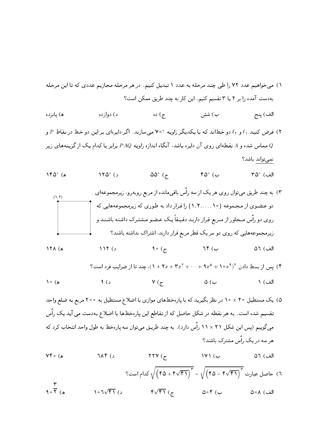- ۱) می خواهیم عدد ۷۲ را طی چند مرحله به عدد ۱ تبدیل کنیم. در هر مرحله مجازیم عددی که تا این مرحله به دست آمده را بر ۲ یا ۳ تقسیم کنیم. این کار به چند طریق ممکن است؟
- ج) ده د) دوازده ب) شش الف) ينج ه) يانزده
- ۲) فرض کنید ۹٫ و ۹٫ دو خطاند که با یکدیگر زاویه °۷۰ می سازند. اگر دایرهای بر این دو خط در نقاط P و مماس شده و A نقطهای روی آن دایره باشد، آنگاه اندازه زاویه  $\it PAQ$  برابر با کدام یک از گزینههای زیر  $Q$ نمى تواند باشد؟
- $\Delta Y \Delta^{\circ}$  (s)  $\Delta\Delta^{\circ}$  ( $\tau$ )  $\mathfrak{so}^{\circ}$  (ب ه) °۱۴۵ الف) °۳۵
- ۳) به چند طریق می;توان روی هر یک از سه رأس باقیمانده از مربع روبهرو، زیرمجموعهای  $\{1, 1\}$ دو عضوي از مجموعه {١٠ , . . . , ٢ , ١ } را قرار داد به طوري كه زيرمجموعههايي كه روی دو رأس مـجاور از مـربع قـرار دارنـد دقـیـقاً یـک عـضـو مـشـتـرک داشـته باشـنـد و زیرمجموعههایی که روی دو سر یک قطر مربع قرار دارند، اشتراک نداشته باشند؟  $9 \circ (7)$  $76$  (  $\Delta Y \wedge (a)$  $\lambda \lambda Y$  (د الف) ٥٦
	- $\int$ ) بس از بسط دادن  $f(x^4 + 1 \circ x^4 + \cdots + 1 \circ x^5 + \cdots + 1 \circ x^6)$ ، چند تا از ضرایب فرد است ؟

10 (d) (d) (e) 
$$
γ(σ)
$$
 (e)  $γ(σ)$  (f) (g)

- ۵) یک مستطیل ۲۰ × ۱۰ در نظر بگیرید که با پارهخطهای موازی با اضلاع مستطیل به ۲۰۰ مربع به ضلع واحد تقسیم شده است. به هر نقطه در شکل حاصل که از تقاطع این پارهخطها با اضلاع بهدست می آید یک رأس میگوییم (پس این شکل ۲۱ × ۱۱ راًس دارد). به چند طریـق میِتوان سه پارهخط به طول واحد انتخاب کرد که هر سه در یک راّس مشترک باشند؟
- $7\lambda$ ۴ (د ۲۲۷ $(\mathcal{F})$  $Y \uparrow \circ (\mathbf{A})$ الف) ٥٦ ب) ۱۷۱ است؟ (۲۹ – ۲۵ – ۲۵)  $\sqrt{(60+\sqrt{51})^2} - \sqrt{(60-\sqrt{51})^2}$  کدام است؟  $\frac{r}{10.7}$ ۴ $\sqrt{51}$  (ج  $107\sqrt{51}$  (s)  $\Delta \circ f$  ( الف) ٨∘۵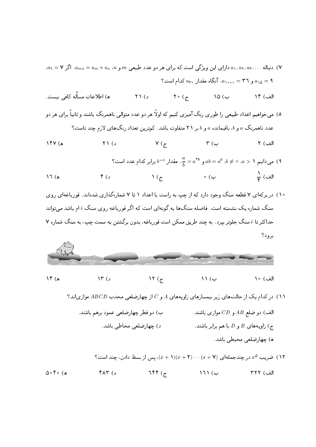- $a_1 = \mathsf{Y}$  دنباله ..., $a_1, a_2, a_3, a_4, a_5, \ldots$  دارای این ویژگی است که برای هر دو عدد طبیعی  $m$  و  $m$ ،  $m$  =  $a_m + a_m$ . اگر  $\mathsf{Y}$ ه و ٣٦ = ٥,٠٥، آنگاه مقدار  $a_7$ ، كدام است؟  $a_{10} = 9$
- ه) اطلاعات مسأله كافي نيست.  $\gamma \circ (\tau)$   $\lambda \circ (\omega)$  $\uparrow$  ۲۱ (د الف) ۱۴
- ۸) می خواهیم اعداد طبیعی را طوری رنگ آمیزی کنیم که اولاً هر دو عدد متوالی ناهمرنگ باشند و ثانیاً برای هر دو عدد ناهمرنگ a و b، باقیمانده a و b بر ٢١ متفاوت باشد. کمترین تعداد رنگهای لازم چند تاست؟

$$
Y(X) = \frac{180}{180}
$$

- میدانیم ۱ $a > a \neq b$ ،  $a \neq a^b$  و  $a^{\text{th}} = a$ . مقدار  $b = b$  برابر کدام عدد است؟ (۹  $\mathfrak{p}(\mathfrak{z})$ ه) ١٦
- ۱۰) در برکهای ۷ قطعه سنگ وجود دارد که از چپ به راست با اعداد ۱ تا ۷ شمارهگذاری شدهاند. قورباغهای روی سنگ شماره یک نشسته است. فاصله سنگها به گونهای است که اگر قورباغه روی سنگ i ام باشد می تواند حداکثر تا i سنگ جلوتر بیرد. به چند طریق ممکن است قورباغه، بدون برگشتن به سمت چپ، به سنگ شماره ۷ برود؟



ه) ۱۴

 $\lambda \uparrow$  ( د

۱۱) در کدام یک از حالتهای زیر نیمسازهای زاویههای A و C از چهارضلعی محدب ABCD موازیاند؟ الف) دو ضلع  $AB$  و  $CD$  موازی باشند. ب) دو قطر چهارضلعی عمود برهم باشند. ج) زاویههای  $B$  و  $D$  با هم برابر باشند. د) چهارضلعی محاطی باشد.

 $\setminus$   $\setminus$   $\subset$ 

الف) ١٥

ا) ضریب ۵۰ در چندجملهای (x + ۲) ... (x + ۲) ... (x + ۲) )، پس از بسط دادن، چند است؟  $755$  $0 \circ f \circ (0)$ د) ۴۸۳  $\setminus$  171 ( الف) ٣٢٢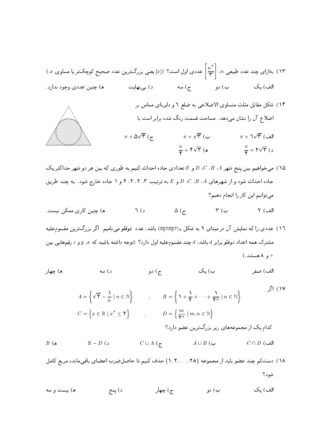- ۱۳) بهازای چند عدد طبیعی n،  $\left|\frac{n^{\mathsf{Y}}}{\mathsf{Y}}\right|$  عددی اول است؟ ([ $x$ ] یعنی بزرگترین عدد صحیح کوچکتر یا مساوی  $x$ .) ب) دو ج) سه د) بی نهایت الف) یک ه) چنين عددي وجود ندارد.
	- ۱۴) شکل مقابل مثلث متساوی الاضلاعی به ضلع ٦ و دایرهای مماس بر اضلاع آن را نشان میدهد. مساحت قسمت رنگ شده برابر است با





۱۵) می خواهیم بین پنج شهر A، B، d، و E تعدادی جاده احداث کنیم به طوری که بین هر دو شهر حداکثر یک جاده احداث شود و از شهرهای A، B، A، ص و E به ترتیب ۳، ۲، ۲، ۲ و ۱ جاده خارج شود. به چند طریق می توانیم این کار را انجام دهیم؟

- ۱٦) عددی را که نمایش آن در مبنای ۹ به شکل ۹( $\overline{xyz}$ ) باشد، عدد د**وقلو** میiامیم. اگر بزرگترین مقسوم علیه مشترک همه اعداد دوقلو برابر d باشد، d چند مقسومعلیه اول دارد؟ (توجه داشته باشید که  $x$ ، y و z رقمهایی بین ه و ۸ هستند.)
- ب) یک ه) چهار د) سه ج) دو الف) صفر

۱۷) اگر  $A = \left\{ \sqrt{\mathbf{Y}} - \frac{1}{n} \mid n \in \mathbb{N} \right\}$ ,  $B = \left\{ 1 + \frac{1}{\mathbf{Y}} + \dots + \frac{1}{\mathbf{Y}^n} \mid n \in \mathbb{N} \right\}$  $C = \left\{ x \in \mathbb{R} \mid x^{\mathsf{T}} \leq \mathsf{T} \right\} \qquad , \qquad D = \left\{ \frac{m}{\mathsf{Y}^n} \mid m, n \in \mathbb{N} \right\}$ کدام یک از مجموعههای زیر بزرگترین عضو دارد؟  $\mathbb{R}-D$  ( د  $C \cup A$  ( $\tau$  $B(\triangle$  $A \cup B$  ( ب  $C \cap D$  (الف

- ١٨) دست كم چند عضو بايد از مجموعه {٢٨ , ٢,٠.. ,٢٨ حذف كنيم تا حاصل ضرب اعضاى باقي مانده مربع كامل شود؟
- ج) چهار الف) یک ه) بيست و سه ب) دو د) پنج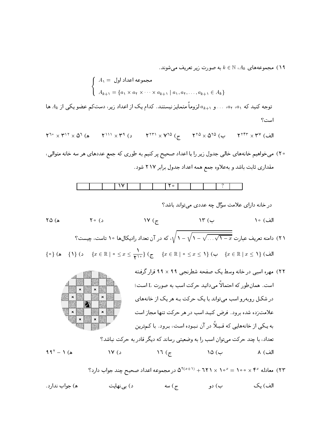، مجموعههای  $A_k \in \mathbb{N}$  به صورت زیر تعریف می شوند.

$$
\left\{\n\begin{array}{l}\nA_1 = \bigcup_{k=1}^n a_k \quad \text{and} \\
A_{k+1} = \{a_1 \times a_1 \times \cdots \times a_{k+1} \mid a_1, a_1, \ldots, a_{k+1} \in A_k\}.\n\end{array}\n\right.
$$

توجه کنید که ۵<sub>۱</sub>، ۵<sub>۲</sub>، ۵۰، و ۱<sub>۴+</sub> $a$  لزوماً متمایز نیستند. کدام یک از اعداد زیر، دستکم عضو یکی از  $A_k$  ها است؟

$$
\Upsilon^{T_0} \times \Upsilon^{11} \times \Delta^T (a \qquad \Upsilon^{111} \times \Upsilon^4 (c \qquad \Upsilon^{TT1} \times \Upsilon^{T0} (c \qquad \Upsilon^{T0} \times \Delta^{T0} (c \qquad \Upsilon^{TTT} \times \Upsilon^{V} (d \Delta^{T0} (c \Delta^{T0} (c \Delta^{T0} (c \Delta^{T0} (c \Delta^{T0} (c \Delta^{T0} (c \Delta^{T0} (c \Delta^{T0} (c \Delta^{T0} (c \Delta^{T0} (c \Delta^{T0} (c \Delta^{T0} (c \Delta^{T0} (c \Delta^{T0} (c \Delta^{T0} (c \Delta^{T0} (c \Delta^{T0} (c \Delta^{T0} (c \Delta^{T0} (c \Delta^{T0} (c \Delta^{T0} (c \Delta^{T0} (c \Delta^{T0} (c \Delta^{T0} (c \Delta^{T0} (c \Delta^{T0} (c \Delta^{T0} (c \Delta^{T0} (c \Delta^{T0} (c \Delta^{T0} (c \Delta^{T0} (c \Delta^{T0} (c \Delta^{T0} (c \Delta^{T0} (c \Delta^{T0} (c \Delta^{T0} (c \Delta^{T0} (c \Delta^{T0} (c \Delta^{T0} (c \Delta^{T0} (c \Delta^{T0} (c \Delta^{T0} (c \Delta^{T0} (c \Delta^{T0} (c \Delta^{T0} (c \Delta^{T0} (c \Delta^{T0} (c \Delta^{T0} (c \Delta^{T0} (c \Delta^{T0} (c \Delta^{T0} (c \Delta^{T0} (c \Delta^{T0} (c \Delta^{T0} (c \Delta^{T0} (c \Delta^{T0} (c \Delta^{T0} (c \Delta^{T0} (c \Delta^{T0} (c \Delta^{T0} (c \Delta^{T0} (c \Delta^{T0} (c \Delta^{T0} (c \Delta^{T0} (c \Delta^{T0} (c \Delta^{T0} (c \Delta^{T0} (c \Delta^{T0} (c \Delta^{T0} (c \Delta^{T0} (c \Delta^{T0} (c \Delta^{T0} (c \Delta^{T0} (c \Delta^{T0} (c \Delta^{T0} (c \Delta^{T0} (c \Delta^{T0} (c \Delta^{T0} (c \Delta^{T0} (c \Delta^{T0} (c \Delta^{T0} (c \Delta^{T0}
$$

۲۰) می خواهیم خانههای خالی جدول زیر را با اعداد صحیح پر کنیم به طوری که جمع عددهای هر سه خانه متوالی، مقداري ثابت باشد و بهعلاوه جمع همه اعداد جدول برابر ۲۱۷ شود.

۲۱) دامنه تعریف عبارت <del>... . ۰/ ۰ - ۰/ ۰ - ۰/ ۰ - ۱</del> م)، که در آن تعداد رادیکال۵ا ۱۰ تاست، چیست؟

\n
$$
\{ \circ \} \{ x \in \mathbb{R} \mid x \leq 1 \}
$$
\n

\n\n $\{ x \in \mathbb{R} \mid x \leq 1 \}$ \n

\n\n $\{ x \in \mathbb{R} \mid x \leq 1 \}$ \n

\n\n $\{ x \in \mathbb{R} \mid x \leq 1 \}$ \n

۲۲) مهره اسبی در خانه وسط یک صفحه شطرنجی ۹۹ × ۹۹ قرار گرفته است. همانطور که احتمالاً میدانید حرکت اسب به صورت L است؛  $\mathbf{x}$ در شکـل روبه رو اسب می تواند با یک حرکت بـه هر یک از خانههای علامتزده شده برود. فرض کنید اسب در هر حرکت تنها مجاز است به یـکی از خانههایی که قـبـلاً در آن نـبـوده است، بـرود. با کـمترین تعداد، با چند حرکت می;توان اسب را به وضعیتی رساند که دیگر قادر به حرکت نباشد؟

$$
91 - 1 (a)
$$
 19 (c) 10 (4)

 $\ddot{\mathbf{a}}$ 

$$
\Upsilon(Y \mid x) = \Upsilon(X \mid x) \cdot \Upsilon(X \mid x) = \Upsilon(X \mid x) \cdot \Upsilon(X \mid x) \cdot \Upsilon(X \mid x) = \Upsilon(X \mid x) \cdot \Upsilon(X \mid x)
$$
دید جواب دارد?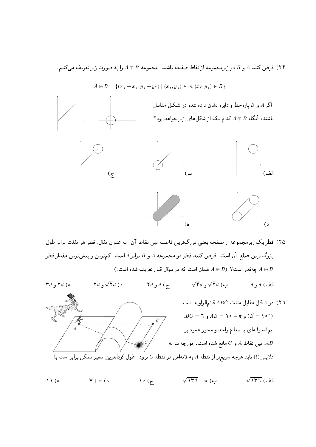۲۴) فرض کنید A و B دو زیرمجموعه از نقاط صفحه باشند. مجموعه B ⊕ A را به صورت زیر تعریف میکنیم.



 $A \oplus B = \{(x_1 + x_1, y_1 + y_1) | (x_1, y_1) \in A, (x_1, y_1) \in B\}$ 

٢٥) قطريك زيرمجموعه از صفحه يعني بزرگترين فاصله بين نقاط آن. به عنوان مثال، قطر هر مثلث برابر طول بزرگترین ضلع آن است. فرض کنید قطر دو مجموعه A و B برابر d است. کم ترین و بیش ترین مقدار قطر . جهقدر است؟ ( A  $\oplus$  همان است که در سؤال قبل تعریف شده است ) A  $\oplus$  B

 $\sqrt{\mathbf{r}}d$  با  $\sqrt{\mathbf{r}}d$  (  $\mathbf{\tilde{r}} d$  و  $\mathbf{\tilde{r}} d$  ( ۲d (د ۲d ۲ $d$  و ۲ $d$  $d_1$  الف)  $d_2$ در شکل مقابل مثلث  $ABC$  قائمالزاویه است  $\mathcal{A}$  $\overline{AB}C = \overline{1}$  و  $\overline{B} = \overline{1} \circ - \pi$  و  $\widehat{B} = \overline{1} \circ \overline{1}$ .  $\overline{B}$ نیم|ستـو|نه|ی با شعاع واحد و محور عمود بر ، بین نقاط  $A$  و  $C$  مانع شده است. مورچه بنا به،  $AB$ دلایلیی(!) باید هرچه سریعتر از نقطه A به لانهاش در نقطه  $C$  برود. طول کوتاهترین مسیر ممکن برابر است با

 $\bigwedge^{\circ}$  (r  $\sqrt{147} - \pi$  ( ب  $\sqrt{177}$  الف  $\Lambda$  ) (  $\Lambda$  $\mathsf{Y} + \pi$  ( د